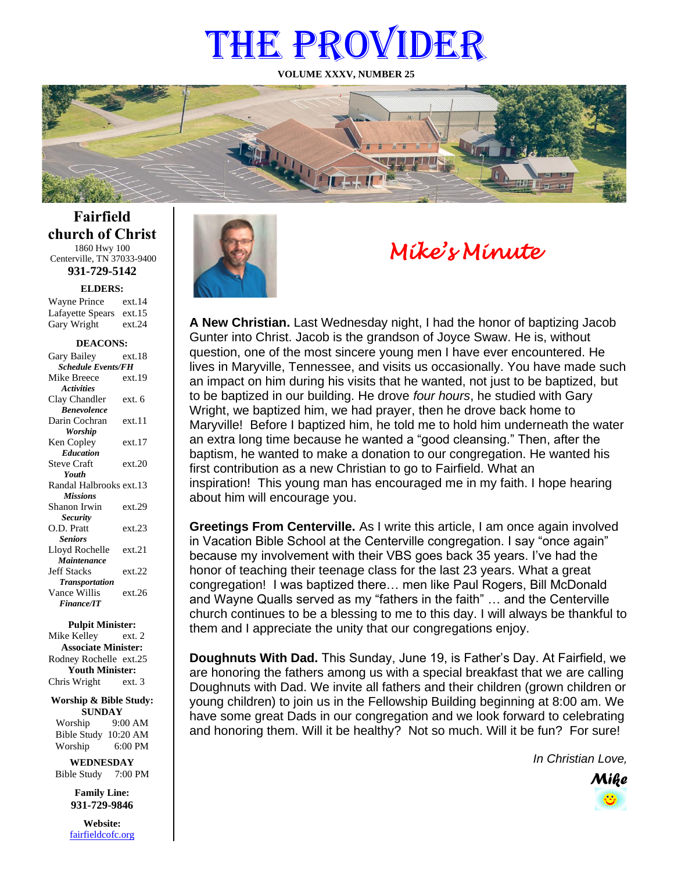# THE PROVIDER

**VOLUME XXXV, NUMBER 25**



**Fairfield church of Christ** 1860 Hwy 100 Centerville, TN 37033-9400

**931-729-5142**

**ELDERS:**

Gary Wright ext.24 Wayne Prince ext.14 Lafayette Spears ext.15

#### **DEACONS:**

| Gary Bailey                      | ext.18 |  |
|----------------------------------|--------|--|
| <b>Schedule Events/FH</b>        |        |  |
| Mike Breece                      | ext.19 |  |
| <b>Activities</b>                |        |  |
| Clay Chandler                    | ext. 6 |  |
| <b><i><u>Renevolence</u></i></b> |        |  |
| Darin Cochran                    | ext.11 |  |
| Worship                          |        |  |
| Ken Copley                       | ext.17 |  |
| <b>Education</b>                 |        |  |
| <b>Steve Craft</b>               | ext.20 |  |
| Youth                            |        |  |
| Randal Halbrooks ext.13          |        |  |
| <b>Missions</b>                  |        |  |
| Shanon Irwin                     | ext.29 |  |
| <b>Security</b>                  |        |  |
| O.D. Pratt                       | ext.23 |  |
| <b>Seniors</b>                   |        |  |
| Lloyd Rochelle                   | ext.21 |  |
| Maintenance                      |        |  |
| <b>Jeff Stacks</b>               | ext.22 |  |
| <b>Transportation</b>            |        |  |
| Vance Willis                     | ext.26 |  |
| <b>Finance/IT</b>                |        |  |
|                                  |        |  |

**Pulpit Minister:**

Mike Kelley ext. 2 **Associate Minister:** Rodney Rochelle ext.25 **Youth Minister:** Chris Wright ext. 3

**Worship & Bible Study: SUNDAY** Worship 9:00 AM

Bible Study 10:20 AM Worship 6:00 PM

**WEDNESDAY** Bible Study 7:00 PM

> **Family Line: 931-729-9846**

**Website:** [fairfieldcofc.org](file:///C:/Users/RickJoyce/Documents/Fairfield%20Website%20Files/fairfieldchurchofchrist.org)



# *Mike's Minute*

**A New Christian.** Last Wednesday night, I had the honor of baptizing Jacob Gunter into Christ. Jacob is the grandson of Joyce Swaw. He is, without question, one of the most sincere young men I have ever encountered. He lives in Maryville, Tennessee, and visits us occasionally. You have made such an impact on him during his visits that he wanted, not just to be baptized, but to be baptized in our building. He drove *four hours*, he studied with Gary Wright, we baptized him, we had prayer, then he drove back home to Maryville! Before I baptized him, he told me to hold him underneath the water an extra long time because he wanted a "good cleansing." Then, after the baptism, he wanted to make a donation to our congregation. He wanted his first contribution as a new Christian to go to Fairfield. What an inspiration! This young man has encouraged me in my faith. I hope hearing about him will encourage you.

**Greetings From Centerville.** As I write this article, I am once again involved in Vacation Bible School at the Centerville congregation. I say "once again" because my involvement with their VBS goes back 35 years. I've had the honor of teaching their teenage class for the last 23 years. What a great congregation! I was baptized there… men like Paul Rogers, Bill McDonald and Wayne Qualls served as my "fathers in the faith" … and the Centerville church continues to be a blessing to me to this day. I will always be thankful to them and I appreciate the unity that our congregations enjoy.

**Doughnuts With Dad.** This Sunday, June 19, is Father's Day. At Fairfield, we are honoring the fathers among us with a special breakfast that we are calling Doughnuts with Dad. We invite all fathers and their children (grown children or young children) to join us in the Fellowship Building beginning at 8:00 am. We have some great Dads in our congregation and we look forward to celebrating and honoring them. Will it be healthy? Not so much. Will it be fun? For sure!

*In Christian Love,*

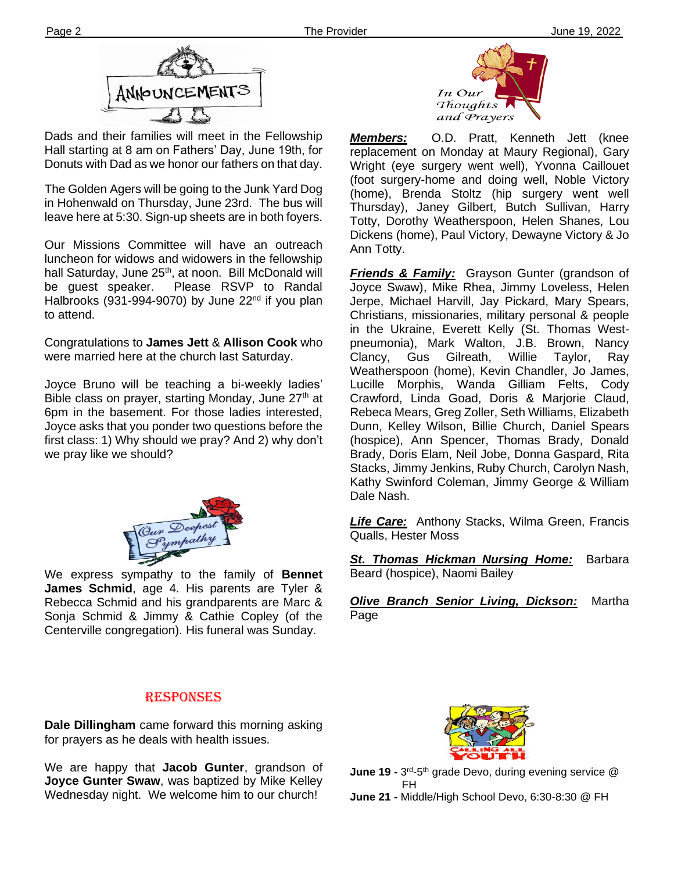

Dads and their families will meet in the Fellowship Hall starting at 8 am on Fathers' Day, June 19th, for Donuts with Dad as we honor our fathers on that day.

**Ther** leave here at 5:30. Sign-up sheets are in both foyers. The Golden Agers will be going to the Junk Yard Dog in Hohenwald on Thursday, June 23rd. The bus will

Our Missions Committee will have an outreach luncheon for widows and widowers in the fellowship hall Saturday, June 25<sup>th</sup>, at noon. Bill McDonald will be guest speaker. Please RSVP to Randal Halbrooks (931-994-9070) by June  $22<sup>nd</sup>$  if you plan to attend.

Congratulations to **James Jett** & **Allison Cook** who were married here at the church last Saturday.

Joyce Bruno will be teaching a bi-weekly ladies' Bible class on prayer, starting Monday, June 27<sup>th</sup> at 6pm in the basement. For those ladies interested, Joyce asks that you ponder two questions before the first class: 1) Why should we pray? And 2) why don't we pray like we should?



**filem** Centerville congregation). His funeral was Sunday. We express sympathy to the family of **Bennet James Schmid**, age 4. His parents are Tyler & Rebecca Schmid and his grandparents are Marc & Sonja Schmid & Jimmy & Cathie Copley (of the

### RESPONSES

**Dale Dillingham** came forward this morning asking for prayers as he deals with health issues.

We are happy that **Jacob Gunter**, grandson of **Joyce Gunter Swaw**, was baptized by Mike Kelley Wednesday night. We welcome him to our church!



*Members:* O.D. Pratt, Kenneth Jett (knee replacement on Monday at Maury Regional), Gary Wright (eye surgery went well), Yvonna Caillouet (foot surgery-home and doing well, Noble Victory (home), Brenda Stoltz (hip surgery went well Thursday), Janey Gilbert, Butch Sullivan, Harry Totty, Dorothy Weatherspoon, Helen Shanes, Lou Dickens (home), Paul Victory, Dewayne Victory & Jo Ann Totty.

*Friends & Family:* Grayson Gunter (grandson of Joyce Swaw), Mike Rhea, Jimmy Loveless, Helen Jerpe, Michael Harvill, Jay Pickard, Mary Spears, Christians, missionaries, military personal & people in the Ukraine, Everett Kelly (St. Thomas Westpneumonia), Mark Walton, J.B. Brown, Nancy Clancy, Gus Gilreath, Willie Taylor, Ray Weatherspoon (home), Kevin Chandler, Jo James, Lucille Morphis, Wanda Gilliam Felts, Cody Crawford, Linda Goad, Doris & Marjorie Claud, Rebeca Mears, Greg Zoller, Seth Williams, Elizabeth Dunn, Kelley Wilson, Billie Church, Daniel Spears (hospice), Ann Spencer, Thomas Brady, Donald Brady, Doris Elam, Neil Jobe, Donna Gaspard, Rita Stacks, Jimmy Jenkins, Ruby Church, Carolyn Nash, Kathy Swinford Coleman, Jimmy George & William Dale Nash.

*Life Care:* Anthony Stacks, Wilma Green, Francis Qualls, Hester Moss

*St. Thomas Hickman Nursing Home:* Barbara Beard (hospice), Naomi Bailey

*Olive Branch Senior Living, Dickson:* Martha Page



**June 19 -** 3<sup>rd</sup>-5<sup>th</sup> grade Devo, during evening service @ FH

**June 21 -** Middle/High School Devo, 6:30-8:30 @ FH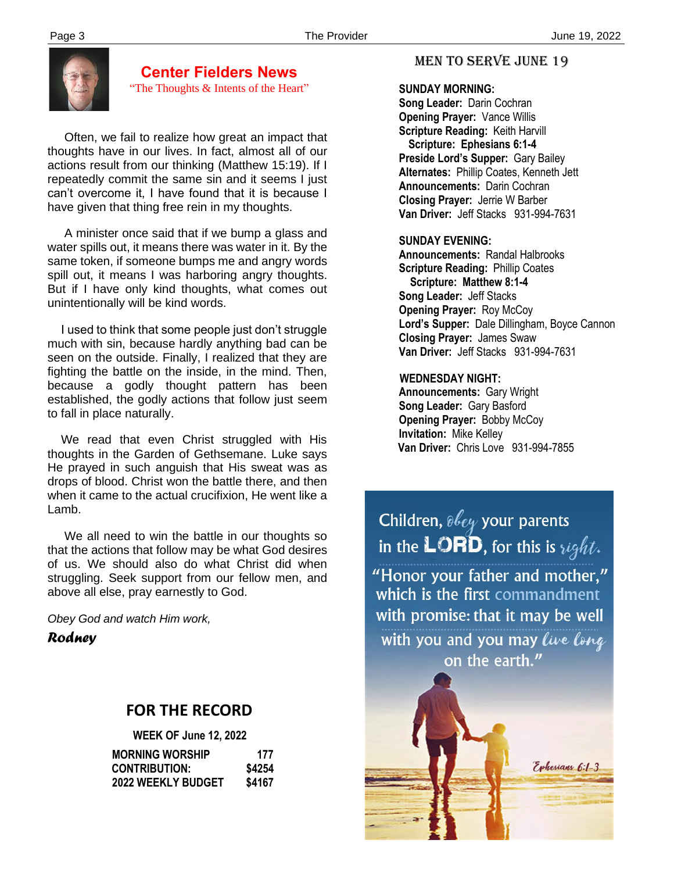

**Center Fielders News** "The Thoughts & Intents of the Heart"

 Often, we fail to realize how great an impact that thoughts have in our lives. In fact, almost all of our actions result from our thinking (Matthew 15:19). If I repeatedly commit the same sin and it seems I just can't overcome it, I have found that it is because I have given that thing free rein in my thoughts.

 A minister once said that if we bump a glass and water spills out, it means there was water in it. By the same token, if someone bumps me and angry words spill out, it means I was harboring angry thoughts. But if I have only kind thoughts, what comes out unintentionally will be kind words.

 I used to think that some people just don't struggle much with sin, because hardly anything bad can be seen on the outside. Finally, I realized that they are fighting the battle on the inside, in the mind. Then, because a godly thought pattern has been established, the godly actions that follow just seem to fall in place naturally.

 We read that even Christ struggled with His thoughts in the Garden of Gethsemane. Luke says He prayed in such anguish that His sweat was as drops of blood. Christ won the battle there, and then when it came to the actual crucifixion, He went like a Lamb.

 We all need to win the battle in our thoughts so that the actions that follow may be what God desires of us. We should also do what Christ did when struggling. Seek support from our fellow men, and above all else, pray earnestly to God.

*Obey God and watch Him work,*

*Rodney*

# **FOR THE RECORD**

|                           | <b>WEEK OF June 12, 2022</b> |  |
|---------------------------|------------------------------|--|
| <b>MORNING WORSHIP</b>    | 177                          |  |
| <b>CONTRIBUTION:</b>      | \$4254                       |  |
| <b>2022 WEEKLY BUDGET</b> | \$4167                       |  |

## MEN TO SERVE June 19

#### **SUNDAY MORNING:**

**Song Leader:** Darin Cochran  **Opening Prayer:** Vance Willis **Scripture Reading:** Keith Harvill  **Scripture: Ephesians 6:1-4 Preside Lord's Supper:** Gary Bailey  **Alternates:** Phillip Coates, Kenneth Jett  **Announcements:** Darin Cochran  **Closing Prayer:** Jerrie W Barber **Van Driver:** Jeff Stacks 931-994-7631

#### **SUNDAY EVENING:**

**Announcements:** Randal Halbrooks **Scripture Reading:** Phillip Coates  **Scripture: Matthew 8:1-4 Song Leader:** Jeff Stacks **Opening Prayer: Roy McCoy Lord's Supper:** Dale Dillingham, Boyce Cannon **Closing Prayer:** James Swaw **Van Driver:** Jeff Stacks 931-994-7631

#### **WEDNESDAY NIGHT:**

**Announcements:** Gary Wright **Song Leader:** Gary Basford **Opening Prayer: Bobby McCoy Invitation:** Mike Kelley  **Van Driver:** Chris Love 931-994-7855